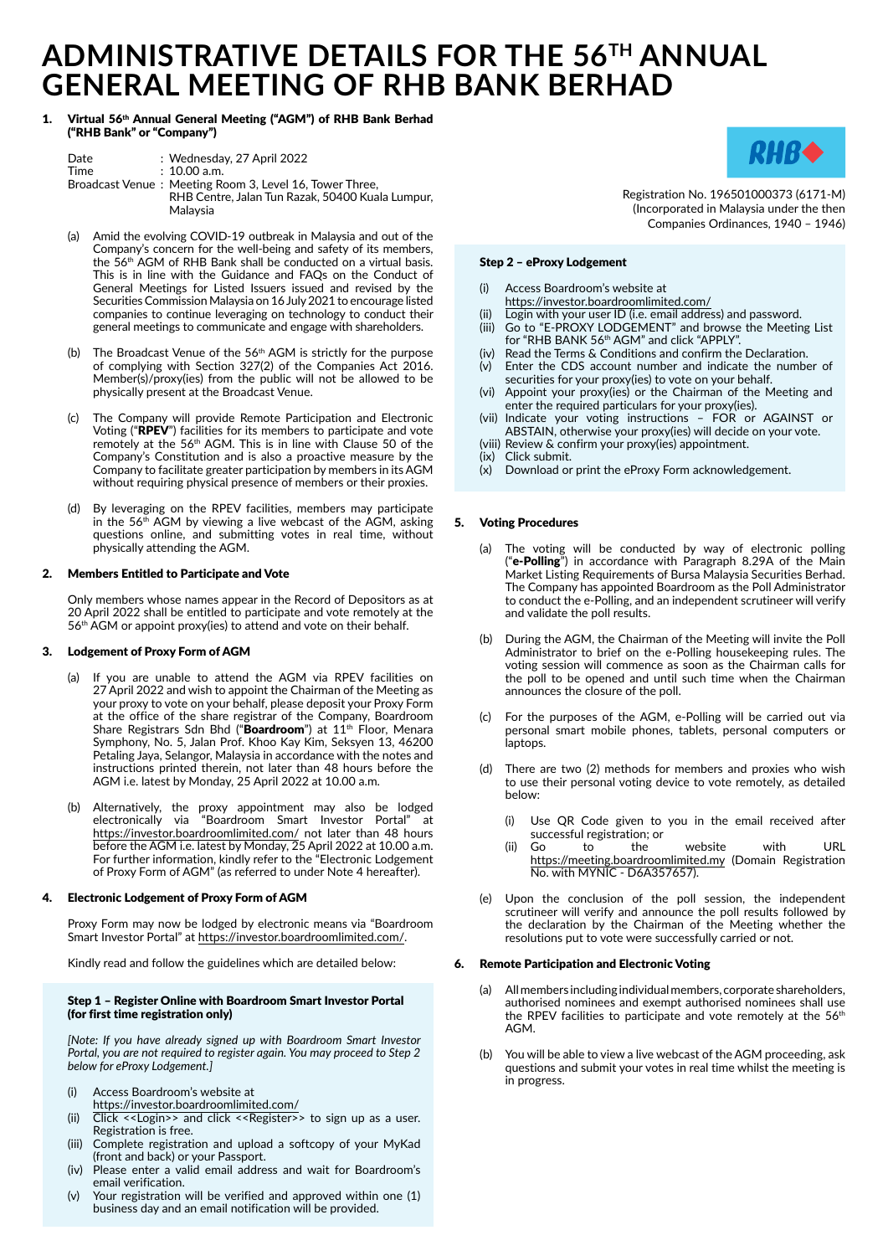# **ADMINISTRATIVE DETAILS FOR THE 56TH ANNUAL GENERAL MEETING OF RHB BANK BERHAD**

## 1. Virtual 56th Annual General Meeting ("AGM") of RHB Bank Berhad ("RHB Bank" or "Company")

| Date | : Wednesday, 27 April 2022                              |
|------|---------------------------------------------------------|
| Time | $: 10.00$ a.m.                                          |
|      | Broadcast Venue: Meeting Room 3, Level 16, Tower Three, |
|      | RHB Centre, Jalan Tun Razak, 50400 Kuala Lumpur,        |
|      | Malaysia                                                |

- (a) Amid the evolving COVID-19 outbreak in Malaysia and out of the Company's concern for the well-being and safety of its members, the 56<sup>th</sup> AGM of RHB Bank shall be conducted on a virtual basis. This is in line with the Guidance and FAQs on the Conduct of General Meetings for Listed Issuers issued and revised by the Securities Commission Malaysia on 16 July 2021 to encourage listed companies to continue leveraging on technology to conduct their general meetings to communicate and engage with shareholders.
- (b) The Broadcast Venue of the  $56<sup>th</sup>$  AGM is strictly for the purpose of complying with Section 327(2) of the Companies Act 2016. Member(s)/proxy(ies) from the public will not be allowed to be physically present at the Broadcast Venue.
- (c) The Company will provide Remote Participation and Electronic Voting ("RPEV") facilities for its members to participate and vote remotely at the 56th AGM. This is in line with Clause 50 of the Company's Constitution and is also a proactive measure by the Company to facilitate greater participation by members in its AGM without requiring physical presence of members or their proxies.
- (d) By leveraging on the RPEV facilities, members may participate in the 56<sup>th</sup> AGM by viewing a live webcast of the AGM, asking questions online, and submitting votes in real time, without physically attending the AGM.

## 2. Members Entitled to Participate and Vote

Only members whose names appear in the Record of Depositors as at 20 April 2022 shall be entitled to participate and vote remotely at the 56<sup>th</sup> AGM or appoint proxy(ies) to attend and vote on their behalf.

## 3. Lodgement of Proxy Form of AGM

- (a) If you are unable to attend the AGM via RPEV facilities on 27 April 2022 and wish to appoint the Chairman of the Meeting as your proxy to vote on your behalf, please deposit your Proxy Form at the office of the share registrar of the Company, Boardroom Share Registrars Sdn Bhd ("Boardroom") at  $11<sup>th</sup>$  Floor, Menara Symphony, No. 5, Jalan Prof. Khoo Kay Kim, Seksyen 13, 46200 Petaling Jaya, Selangor, Malaysia in accordance with the notes and instructions printed therein, not later than 48 hours before the AGM i.e. latest by Monday, 25 April 2022 at 10.00 a.m.
- (b) Alternatively, the proxy appointment may also be lodged electronically via "Boardroom Smart Investor Portal" at https://investor.boardroomlimited.com/ not later than 48 hours before the AGM i.e. latest by Monday, 25 April 2022 at 10.00 a.m. For further information, kindly refer to the "Electronic Lodgement of Proxy Form of AGM" (as referred to under Note 4 hereafter).

## 4. Electronic Lodgement of Proxy Form of AGM

Proxy Form may now be lodged by electronic means via "Boardroom Smart Investor Portal" at https://investor.boardroomlimited.com/.

Kindly read and follow the guidelines which are detailed below:

## Step 1 – Register Online with Boardroom Smart Investor Portal (for first time registration only)

*[Note: If you have already signed up with Boardroom Smart Investor Portal, you are not required to register again. You may proceed to Step 2 below for eProxy Lodgement.]*

- (i) Access Boardroom's website at
- https://investor.boardroomlimited.com/
- (ii) Click <<Login>> and click <<Register>> to sign up as a user. Registration is free.
- (iii) Complete registration and upload a softcopy of your MyKad (front and back) or your Passport.
- (iv) Please enter a valid email address and wait for Boardroom's email verification.
- (v) Your registration will be verified and approved within one (1) business day and an email notification will be provided.



Registration No. 196501000373 (6171-M) (Incorporated in Malaysia under the then Companies Ordinances, 1940 – 1946)

## Step 2 – eProxy Lodgement

- (i) Access Boardroom's website at
- https://investor.boardroomlimited.com/
- (ii) Login with your user ID (i.e. email address) and password. (iii) Go to "E-PROXY LODGEMENT" and browse the Meeting List for "RHB BANK 56th AGM" and click "APPLY".
- (iv) Read the Terms & Conditions and confirm the Declaration.
- (v) Enter the CDS account number and indicate the number of securities for your proxy(ies) to vote on your behalf.
- (vi) Appoint your proxy(ies) or the Chairman of the Meeting and enter the required particulars for your proxy(ies).
- (vii) Indicate your voting instructions FOR or AGAINST or ABSTAIN, otherwise your proxy(ies) will decide on your vote.
- (viii) Review & confirm your proxy(ies) appointment.
- (ix) Click submit.
- $(x)$  Download or print the eProxy Form acknowledgement.

## 5. Voting Procedures

- (a) The voting will be conducted by way of electronic polling (" $e$ -Polling") in accordance with Paragraph 8.29A of the Main Market Listing Requirements of Bursa Malaysia Securities Berhad. The Company has appointed Boardroom as the Poll Administrator to conduct the e-Polling, and an independent scrutineer will verify and validate the poll results.
- (b) During the AGM, the Chairman of the Meeting will invite the Poll Administrator to brief on the e-Polling housekeeping rules. The voting session will commence as soon as the Chairman calls for the poll to be opened and until such time when the Chairman announces the closure of the poll.
- (c) For the purposes of the AGM, e-Polling will be carried out via personal smart mobile phones, tablets, personal computers or laptops.
- (d) There are two (2) methods for members and proxies who wish to use their personal voting device to vote remotely, as detailed below:
	- (i) Use QR Code given to you in the email received after successful registration; or
	- (ii) Go to the website with URL https://meeting.boardroomlimited.my (Domain Registration No. with MYNIC - D6A357657).
- (e) Upon the conclusion of the poll session, the independent scrutineer will verify and announce the poll results followed by the declaration by the Chairman of the Meeting whether the resolutions put to vote were successfully carried or not.

## 6. Remote Participation and Electronic Voting

- (a) All members including individual members, corporate shareholders, authorised nominees and exempt authorised nominees shall use the RPEV facilities to participate and vote remotely at the 56<sup>th</sup> AGM.
- (b) You will be able to view a live webcast of the AGM proceeding, ask questions and submit your votes in real time whilst the meeting is in progress.